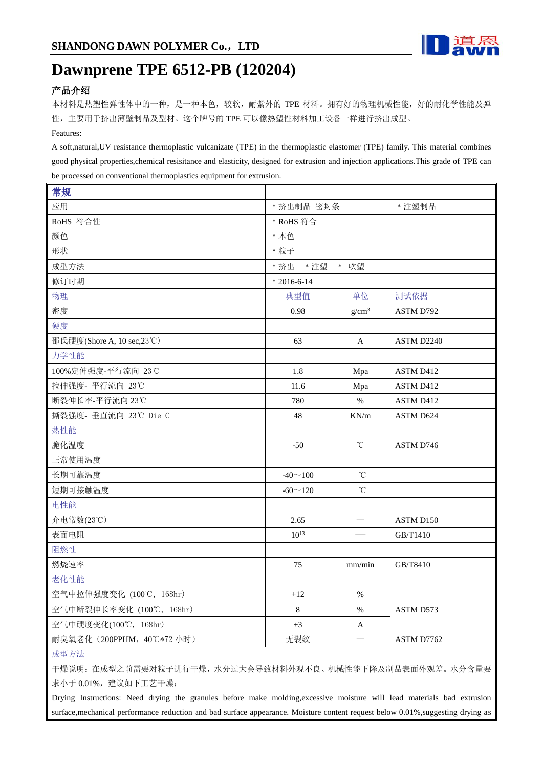

## **Dawnprene TPE 6512-PB (120204)**

## 产品介绍

本材料是热塑性弹性体中的一种,是一种本色,较软,耐紫外的 TPE 材料。拥有好的物理机械性能,好的耐化学性能及弹 性,主要用于挤出薄壁制品及型材。这个牌号的 TPE 可以像热塑性材料加工设备一样进行挤出成型。 Features:

A soft,natural,UV resistance thermoplastic vulcanizate (TPE) in the thermoplastic elastomer (TPE) family. This material combines good physical properties,chemical resisitance and elasticity, designed for extrusion and injection applications.This grade of TPE can be processed on conventional thermoplastics equipment for extrusion.

| 常规                         |                      |                 |            |
|----------------------------|----------------------|-----------------|------------|
| 应用                         | * 挤出制品 密封条           |                 | * 注塑制品     |
| RoHS 符合性                   | * RoHS 符合            |                 |            |
| 颜色                         | * 本色                 |                 |            |
| 形状                         | * 粒子                 |                 |            |
| 成型方法                       | * 吹塑<br>* 挤出<br>* 注塑 |                 |            |
| 修订时期                       | $*2016-6-14$         |                 |            |
| 物理                         | 典型值                  | 单位              | 测试依据       |
| 密度                         | 0.98                 | $g/cm^3$        | ASTM D792  |
| 硬度                         |                      |                 |            |
| 邵氏硬度(Shore A, 10 sec,23°C) | 63                   | A               | ASTM D2240 |
| 力学性能                       |                      |                 |            |
| 100%定伸强度-平行流向 23℃          | 1.8                  | Mpa             | ASTM D412  |
| 拉伸强度- 平行流向 23℃             | 11.6                 | Mpa             | ASTM D412  |
| 断裂伸长率-平行流向 23℃             | 780                  | $\%$            | ASTM D412  |
| 撕裂强度- 垂直流向 23℃ Die C       | 48                   | KN/m            | ASTM D624  |
| 热性能                        |                      |                 |            |
| 脆化温度                       | $-50$                | $^{\circ}$ C    | ASTM D746  |
| 正常使用温度                     |                      |                 |            |
| 长期可靠温度                     | $-40 \sim 100$       | °C              |            |
| 短期可接触温度                    | $-60 \sim 120$       | $\rm ^{\circ}C$ |            |
| 电性能                        |                      |                 |            |
| 介电常数(23℃)                  | 2.65                 |                 | ASTM D150  |
| 表面电阻                       | $10^{13}$            |                 | GB/T1410   |
| 阻燃性                        |                      |                 |            |
| 燃烧速率                       | 75                   | mm/min          | GB/T8410   |
| 老化性能                       |                      |                 |            |
| 空气中拉伸强度变化 (100℃, 168hr)    | $+12$                | $\%$            |            |
| 空气中断裂伸长率变化 (100℃, 168hr)   | 8                    | $\%$            | ASTM D573  |
| 空气中硬度变化(100℃,168hr)        | $+3$                 | A               |            |
| 耐臭氧老化 (200PPHM, 40℃*72 小时) | 无裂纹                  |                 | ASTM D7762 |
| 成型方法                       |                      |                 |            |

干燥说明:在成型之前需要对粒子进行干燥,水分过大会导致材料外观不良、机械性能下降及制品表面外观差。水分含量要 求小于 0.01%, 建议如下工艺干燥:

Drying Instructions: Need drying the granules before make molding,excessive moisture will lead materials bad extrusion surface,mechanical performance reduction and bad surface appearance. Moisture content request below 0.01%,suggesting drying as